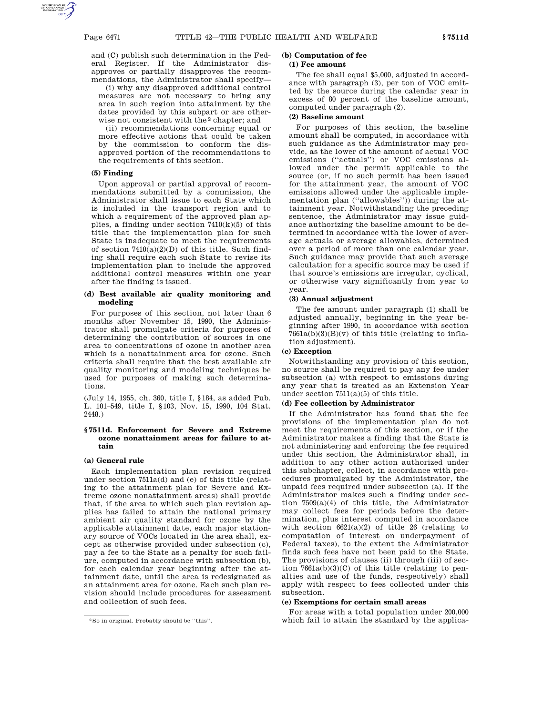and (C) publish such determination in the Federal Register. If the Administrator disapproves or partially disapproves the recommendations, the Administrator shall specify—

(i) why any disapproved additional control measures are not necessary to bring any area in such region into attainment by the dates provided by this subpart or are otherwise not consistent with the 2 chapter; and

(ii) recommendations concerning equal or more effective actions that could be taken by the commission to conform the disapproved portion of the recommendations to the requirements of this section.

# **(5) Finding**

Upon approval or partial approval of recommendations submitted by a commission, the Administrator shall issue to each State which is included in the transport region and to which a requirement of the approved plan applies, a finding under section  $7410(k)(5)$  of this title that the implementation plan for such State is inadequate to meet the requirements of section  $7410(a)(2)(D)$  of this title. Such finding shall require each such State to revise its implementation plan to include the approved additional control measures within one year after the finding is issued.

#### **(d) Best available air quality monitoring and modeling**

For purposes of this section, not later than 6 months after November 15, 1990, the Administrator shall promulgate criteria for purposes of determining the contribution of sources in one area to concentrations of ozone in another area which is a nonattainment area for ozone. Such criteria shall require that the best available air quality monitoring and modeling techniques be used for purposes of making such determinations.

(July 14, 1955, ch. 360, title I, §184, as added Pub. L. 101–549, title I, §103, Nov. 15, 1990, 104 Stat. 2448.)

## **§ 7511d. Enforcement for Severe and Extreme ozone nonattainment areas for failure to attain**

## **(a) General rule**

Each implementation plan revision required under section 7511a(d) and (e) of this title (relating to the attainment plan for Severe and Extreme ozone nonattainment areas) shall provide that, if the area to which such plan revision applies has failed to attain the national primary ambient air quality standard for ozone by the applicable attainment date, each major stationary source of VOCs located in the area shall, except as otherwise provided under subsection (c), pay a fee to the State as a penalty for such failure, computed in accordance with subsection (b), for each calendar year beginning after the attainment date, until the area is redesignated as an attainment area for ozone. Each such plan revision should include procedures for assessment and collection of such fees.

# **(b) Computation of fee**

# **(1) Fee amount**

The fee shall equal \$5,000, adjusted in accordance with paragraph (3), per ton of VOC emitted by the source during the calendar year in excess of 80 percent of the baseline amount, computed under paragraph (2).

#### **(2) Baseline amount**

For purposes of this section, the baseline amount shall be computed, in accordance with such guidance as the Administrator may provide, as the lower of the amount of actual VOC emissions (''actuals'') or VOC emissions allowed under the permit applicable to the source (or, if no such permit has been issued for the attainment year, the amount of VOC emissions allowed under the applicable implementation plan (''allowables'')) during the attainment year. Notwithstanding the preceding sentence, the Administrator may issue guidance authorizing the baseline amount to be determined in accordance with the lower of average actuals or average allowables, determined over a period of more than one calendar year. Such guidance may provide that such average calculation for a specific source may be used if that source's emissions are irregular, cyclical, or otherwise vary significantly from year to year.

### **(3) Annual adjustment**

The fee amount under paragraph (1) shall be adjusted annually, beginning in the year beginning after 1990, in accordance with section  $7661a(b)(3)(B)(v)$  of this title (relating to inflation adjustment).

## **(c) Exception**

Notwithstanding any provision of this section, no source shall be required to pay any fee under subsection (a) with respect to emissions during any year that is treated as an Extension Year under section 7511(a)(5) of this title.

# **(d) Fee collection by Administrator**

If the Administrator has found that the fee provisions of the implementation plan do not meet the requirements of this section, or if the Administrator makes a finding that the State is not administering and enforcing the fee required under this section, the Administrator shall, in addition to any other action authorized under this subchapter, collect, in accordance with procedures promulgated by the Administrator, the unpaid fees required under subsection (a). If the Administrator makes such a finding under section 7509(a)(4) of this title, the Administrator may collect fees for periods before the determination, plus interest computed in accordance with section  $6621(a)(2)$  of title 26 (relating to computation of interest on underpayment of Federal taxes), to the extent the Administrator finds such fees have not been paid to the State. The provisions of clauses (ii) through (iii) of section 7661a(b)(3)(C) of this title (relating to penalties and use of the funds, respectively) shall apply with respect to fees collected under this subsection.

#### **(e) Exemptions for certain small areas**

For areas with a total population under 200,000 which fail to attain the standard by the applica-

<sup>2</sup>So in original. Probably should be ''this''.